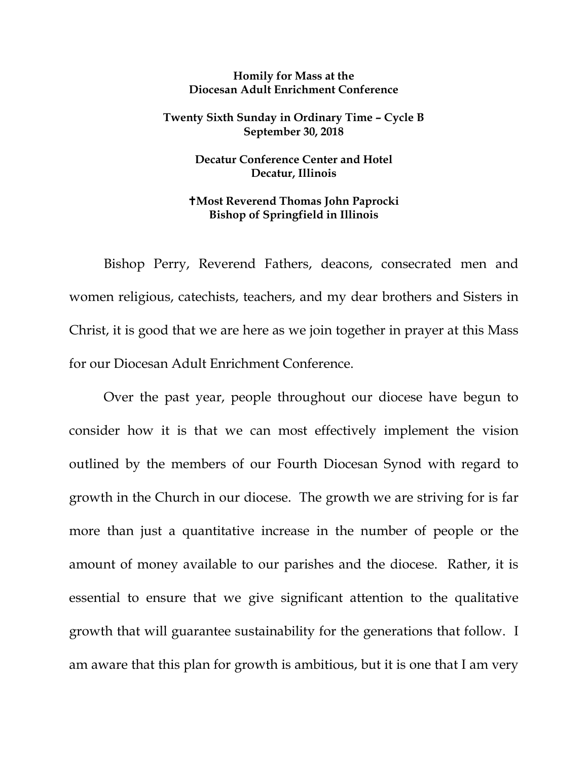## **Homily for Mass at the Diocesan Adult Enrichment Conference**

## **Twenty Sixth Sunday in Ordinary Time – Cycle B September 30, 2018**

## **Decatur Conference Center and Hotel Decatur, Illinois**

## **Most Reverend Thomas John Paprocki Bishop of Springfield in Illinois**

Bishop Perry, Reverend Fathers, deacons, consecrated men and women religious, catechists, teachers, and my dear brothers and Sisters in Christ, it is good that we are here as we join together in prayer at this Mass for our Diocesan Adult Enrichment Conference.

Over the past year, people throughout our diocese have begun to consider how it is that we can most effectively implement the vision outlined by the members of our Fourth Diocesan Synod with regard to growth in the Church in our diocese. The growth we are striving for is far more than just a quantitative increase in the number of people or the amount of money available to our parishes and the diocese. Rather, it is essential to ensure that we give significant attention to the qualitative growth that will guarantee sustainability for the generations that follow. I am aware that this plan for growth is ambitious, but it is one that I am very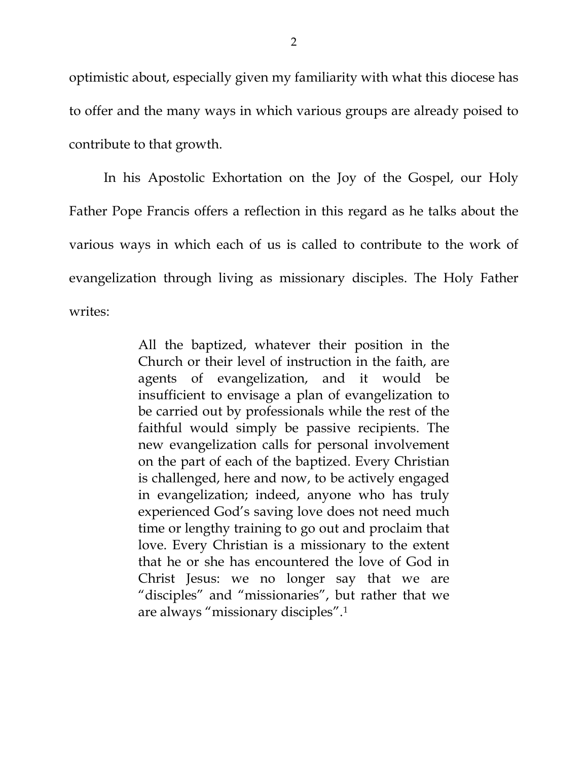optimistic about, especially given my familiarity with what this diocese has to offer and the many ways in which various groups are already poised to contribute to that growth.

In his Apostolic Exhortation on the Joy of the Gospel, our Holy Father Pope Francis offers a reflection in this regard as he talks about the various ways in which each of us is called to contribute to the work of evangelization through living as missionary disciples. The Holy Father writes:

> All the baptized, whatever their position in the Church or their level of instruction in the faith, are agents of evangelization, and it would be insufficient to envisage a plan of evangelization to be carried out by professionals while the rest of the faithful would simply be passive recipients. The new evangelization calls for personal involvement on the part of each of the baptized. Every Christian is challenged, here and now, to be actively engaged in evangelization; indeed, anyone who has truly experienced God's saving love does not need much time or lengthy training to go out and proclaim that love. Every Christian is a missionary to the extent that he or she has encountered the love of God in Christ Jesus: we no longer say that we are "disciples" and "missionaries", but rather that we are always "missionary disciples".[1](#page-5-0)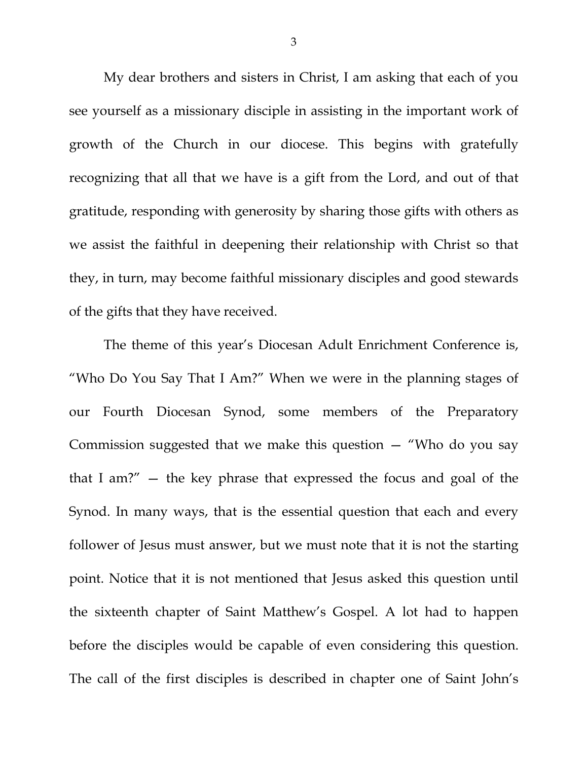My dear brothers and sisters in Christ, I am asking that each of you see yourself as a missionary disciple in assisting in the important work of growth of the Church in our diocese. This begins with gratefully recognizing that all that we have is a gift from the Lord, and out of that gratitude, responding with generosity by sharing those gifts with others as we assist the faithful in deepening their relationship with Christ so that they, in turn, may become faithful missionary disciples and good stewards of the gifts that they have received.

The theme of this year's Diocesan Adult Enrichment Conference is, "Who Do You Say That I Am?" When we were in the planning stages of our Fourth Diocesan Synod, some members of the Preparatory Commission suggested that we make this question  $-$  "Who do you say that I am?" — the key phrase that expressed the focus and goal of the Synod. In many ways, that is the essential question that each and every follower of Jesus must answer, but we must note that it is not the starting point. Notice that it is not mentioned that Jesus asked this question until the sixteenth chapter of Saint Matthew's Gospel. A lot had to happen before the disciples would be capable of even considering this question. The call of the first disciples is described in chapter one of Saint John's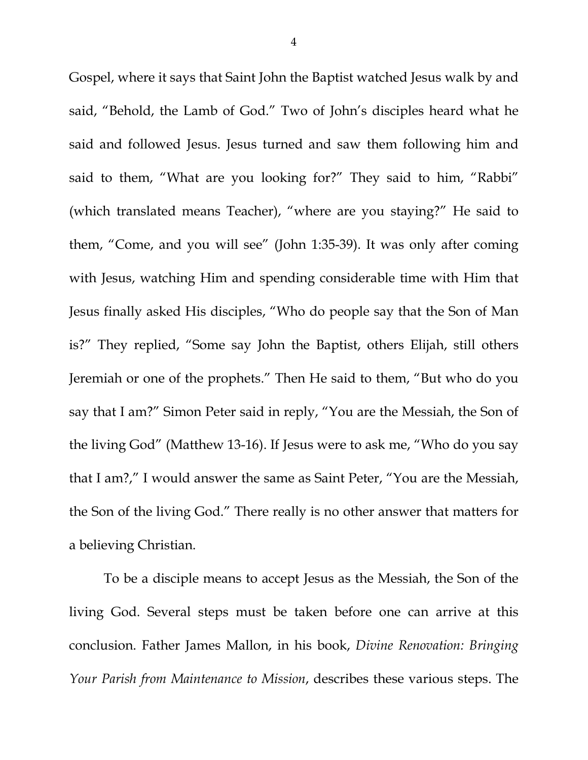Gospel, where it says that Saint John the Baptist watched Jesus walk by and said, "Behold, the Lamb of God." Two of John's disciples heard what he said and followed Jesus. Jesus turned and saw them following him and said to them, "What are you looking for?" They said to him, "Rabbi" (which translated means Teacher), "where are you staying?" He said to them, "Come, and you will see" (John 1:35-39). It was only after coming with Jesus, watching Him and spending considerable time with Him that Jesus finally asked His disciples, "Who do people say that the Son of Man is?" They replied, "Some say John the Baptist, others Elijah, still others Jeremiah or one of the prophets." Then He said to them, "But who do you say that I am?" Simon Peter said in reply, "You are the Messiah, the Son of the living God" (Matthew 13-16). If Jesus were to ask me, "Who do you say that I am?," I would answer the same as Saint Peter, "You are the Messiah, the Son of the living God." There really is no other answer that matters for a believing Christian.

To be a disciple means to accept Jesus as the Messiah, the Son of the living God. Several steps must be taken before one can arrive at this conclusion. Father James Mallon, in his book, *Divine Renovation: Bringing Your Parish from Maintenance to Mission*, describes these various steps. The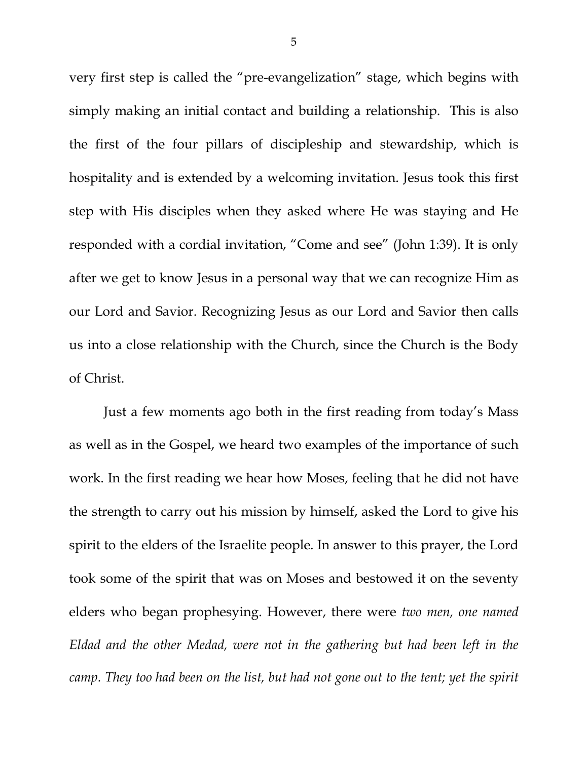very first step is called the "pre-evangelization" stage, which begins with simply making an initial contact and building a relationship. This is also the first of the four pillars of discipleship and stewardship, which is hospitality and is extended by a welcoming invitation. Jesus took this first step with His disciples when they asked where He was staying and He responded with a cordial invitation, "Come and see" (John 1:39). It is only after we get to know Jesus in a personal way that we can recognize Him as our Lord and Savior. Recognizing Jesus as our Lord and Savior then calls us into a close relationship with the Church, since the Church is the Body of Christ.

Just a few moments ago both in the first reading from today's Mass as well as in the Gospel, we heard two examples of the importance of such work. In the first reading we hear how Moses, feeling that he did not have the strength to carry out his mission by himself, asked the Lord to give his spirit to the elders of the Israelite people. In answer to this prayer, the Lord took some of the spirit that was on Moses and bestowed it on the seventy elders who began prophesying. However, there were *two men, one named Eldad and the other Medad, were not in the gathering but had been left in the camp. They too had been on the list, but had not gone out to the tent; yet the spirit*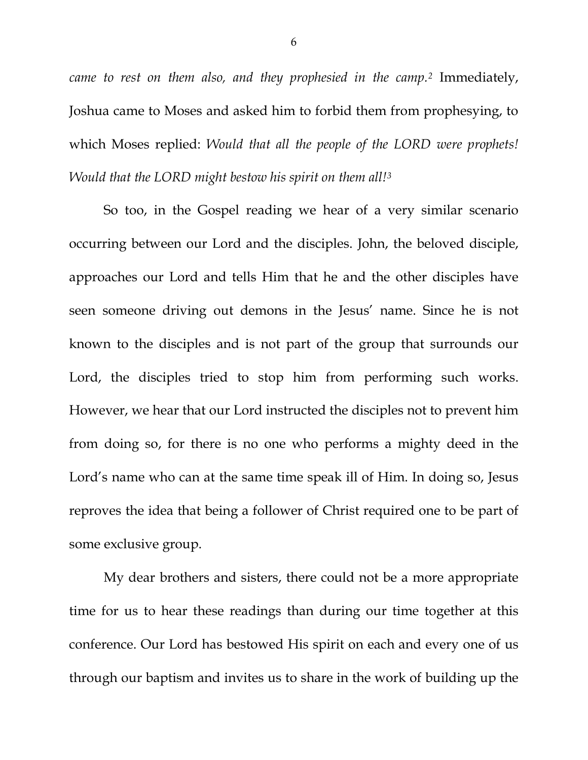*came to rest on them also, and they prophesied in the camp.[2](#page-5-1)* Immediately, Joshua came to Moses and asked him to forbid them from prophesying, to which Moses replied: *Would that all the people of the LORD were prophets! Would that the LORD might bestow his spirit on them all![3](#page-5-2)*

So too, in the Gospel reading we hear of a very similar scenario occurring between our Lord and the disciples. John, the beloved disciple, approaches our Lord and tells Him that he and the other disciples have seen someone driving out demons in the Jesus' name. Since he is not known to the disciples and is not part of the group that surrounds our Lord, the disciples tried to stop him from performing such works. However, we hear that our Lord instructed the disciples not to prevent him from doing so, for there is no one who performs a mighty deed in the Lord's name who can at the same time speak ill of Him. In doing so, Jesus reproves the idea that being a follower of Christ required one to be part of some exclusive group.

<span id="page-5-2"></span><span id="page-5-1"></span><span id="page-5-0"></span>My dear brothers and sisters, there could not be a more appropriate time for us to hear these readings than during our time together at this conference. Our Lord has bestowed His spirit on each and every one of us through our baptism and invites us to share in the work of building up the